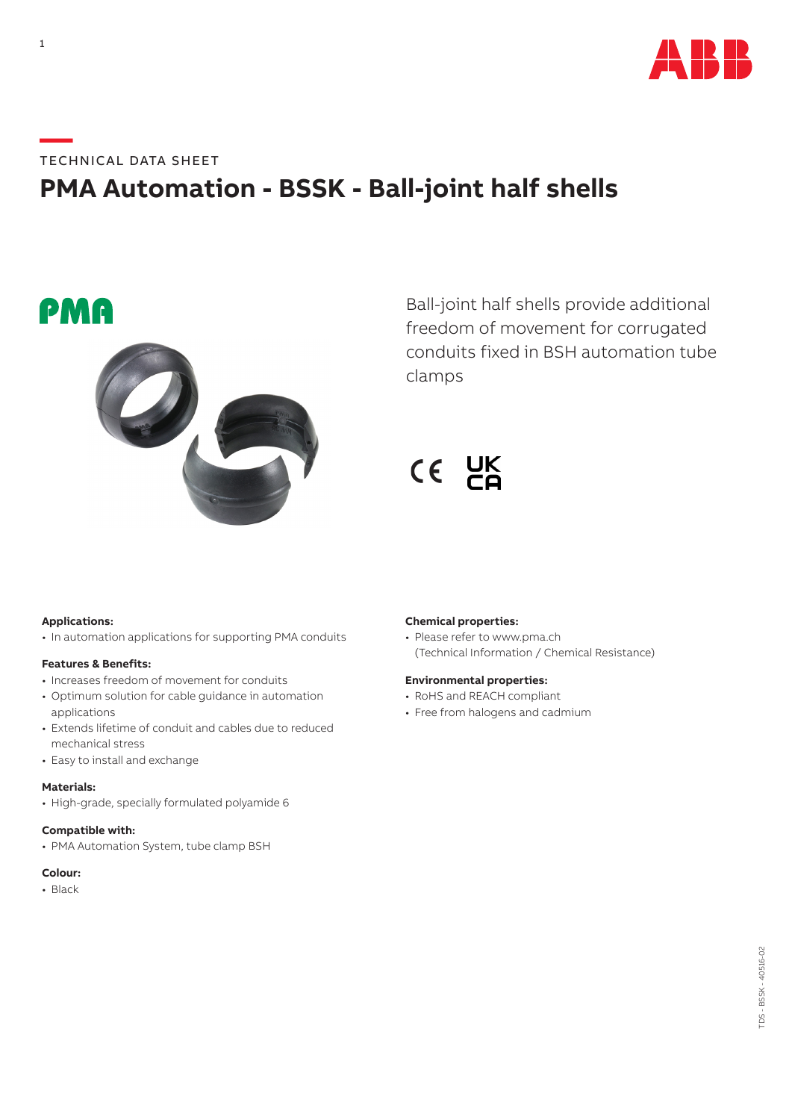

# **—**TECHNICAL DATA SHEET **PMA Automation - BSSK - Ball-joint half shells**





Ball-joint half shells provide additional freedom of movement for corrugated conduits fixed in BSH automation tube clamps

 $CE$   $DE$ 

## **Applications:**

• In automation applications for supporting PMA conduits

#### **Features & Benefits:**

- Increases freedom of movement for conduits
- Optimum solution for cable guidance in automation applications
- Extends lifetime of conduit and cables due to reduced mechanical stress
- Easy to install and exchange

## **Materials:**

• High-grade, specially formulated polyamide 6

# **Compatible with:**

• PMA Automation System, tube clamp BSH

# **Colour:**

• Black

## **Chemical properties:**

• Please refer to www.pma.ch (Technical Information / Chemical Resistance)

### **Environmental properties:**

- RoHS and REACH compliant
- Free from halogens and cadmium